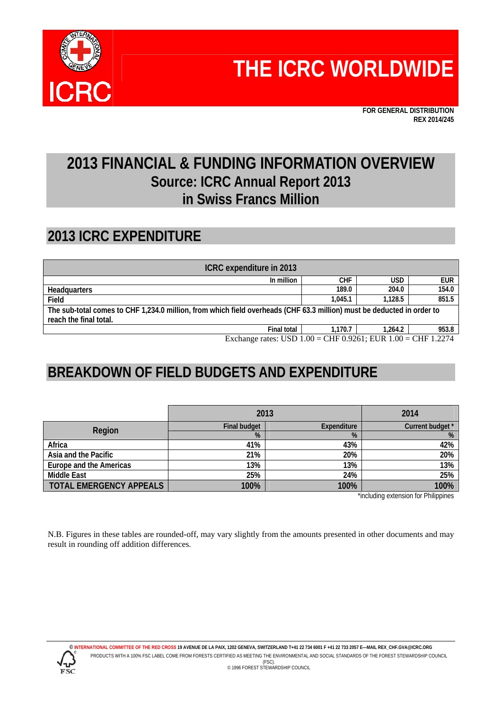

**FOR GENERAL DISTRIBUTION REX 2014/245** 

## **2013 FINANCIAL & FUNDING INFORMATION OVERVIEW Source: ICRC Annual Report 2013 in Swiss Francs Million**

#### **2013 ICRC EXPENDITURE**

| ICRC expenditure in 2013                                                                                                                              |         |         |            |  |  |  |  |
|-------------------------------------------------------------------------------------------------------------------------------------------------------|---------|---------|------------|--|--|--|--|
| In million                                                                                                                                            | CHF     | USD     | <b>EUR</b> |  |  |  |  |
| Headquarters                                                                                                                                          | 189.0   | 204.0   | 154.0      |  |  |  |  |
| Field                                                                                                                                                 | 1.045.1 | 1.128.5 | 851.5      |  |  |  |  |
| The sub-total comes to CHF 1,234.0 million, from which field overheads (CHF 63.3 million) must be deducted in order to                                |         |         |            |  |  |  |  |
| reach the final total.                                                                                                                                |         |         |            |  |  |  |  |
| <b>Final total</b>                                                                                                                                    | 1.170.7 | 1.264.2 | 953.8      |  |  |  |  |
| Exchange rates: $\text{I}\{\text{SD} 1\}$ $\text{O}0 - \text{CHF}$ $\text{O}$ $\text{O}261$ · $\text{FIP} 1$ $\text{O}0 - \text{CHF} 1$ $\text{O}274$ |         |         |            |  |  |  |  |

Exchange rates: USD  $1.00 =$  CHF 0.9261;

# **BREAKDOWN OF FIELD BUDGETS AND EXPENDITURE**

|                                | 2013                | 2014               |                  |
|--------------------------------|---------------------|--------------------|------------------|
| Region                         | <b>Final budget</b> | <b>Expenditure</b> | Current budget * |
|                                | %                   | %                  | %                |
| Africa                         | 41%                 | 43%                | 42%              |
| Asia and the Pacific           | 21%                 | 20%                | 20%              |
| Europe and the Americas        | 13%                 | 13%                | 13%              |
| <b>Middle East</b>             | 25%                 | 24%                | 25%              |
| <b>TOTAL EMERGENCY APPEALS</b> | 100%                | 100%               | 100%             |

\*including extension for Philippines

N.B. Figures in these tables are rounded-off, may vary slightly from the amounts presented in other documents and may result in rounding off addition differences.



**© INTERNATIONAL COMMITTEE OF THE RED CROSS 19 AVENUE DE LA PAIX, 1202 GENEVA, SWITZERLAND T+41 22 734 6001 F +41 22 733 2057 E—MAIL REX\_CHF.GVA@ICRC.ORG**  PRODUCTS WITH A 100% FSC LABEL COME FROM FORESTS CERTIFIED AS MEETING THE ENVIRONMENTAL AND SOCIAL STANDARDS OF THE FOREST STEWARDSHIP COUNCIL (FSC). © 1996 FOREST STEWARDSHIP COUNCIL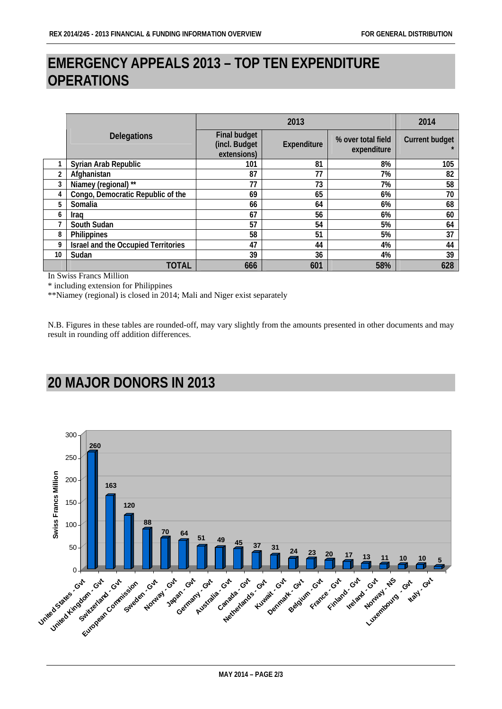#### **EMERGENCY APPEALS 2013 – TOP TEN EXPENDITURE OPERATIONS**

|    |                                     | 2013                                                |             |                                   | 2014                  |
|----|-------------------------------------|-----------------------------------------------------|-------------|-----------------------------------|-----------------------|
|    | <b>Delegations</b>                  | <b>Final budget</b><br>(incl. Budget<br>extensions) | Expenditure | % over total field<br>expenditure | <b>Current budget</b> |
|    | Syrian Arab Republic                | 101                                                 | 81          | 8%                                | 105                   |
| 2  | Afghanistan                         | 87                                                  | 77          | 7%                                | 82                    |
|    | Niamey (regional) **                | 77                                                  | 73          | 7%                                | 58                    |
| 4  | Congo, Democratic Republic of the   | 69                                                  | 65          | 6%                                | 70                    |
| 5  | Somalia                             | 66                                                  | 64          | 6%                                | 68                    |
| 6  | Iraq                                | 67                                                  | 56          | 6%                                | 60                    |
|    | South Sudan                         | 57                                                  | 54          | 5%                                | 64                    |
| 8  | Philippines                         | 58                                                  | 51          | 5%                                | 37                    |
| 9  | Israel and the Occupied Territories | 47                                                  | 44          | 4%                                | 44                    |
| 10 | Sudan                               | 39                                                  | 36          | 4%                                | 39                    |
|    | TOTAL                               | 666                                                 | 601         | 58%                               | 628                   |

In Swiss Francs Million

\* including extension for Philippines

\*\*Niamey (regional) is closed in 2014; Mali and Niger exist separately

N.B. Figures in these tables are rounded-off, may vary slightly from the amounts presented in other documents and may result in rounding off addition differences.

### **20 MAJOR DONORS IN 2013**